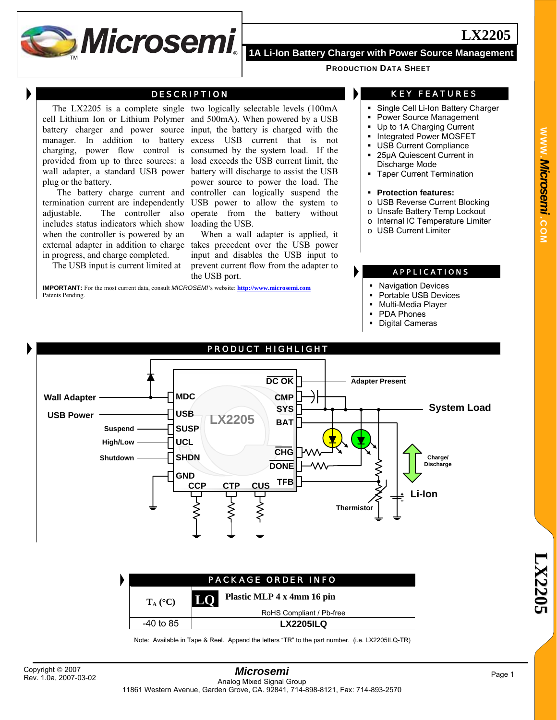

#### **PRODUCTION DATA SHEET**

#### DESCRIPTION

The LX2205 is a complete single two logically selectable levels (100mA plug or the battery.

includes status indicators which show when the controller is powered by an in progress, and charge completed.

The USB input is current limited at

cell Lithium Ion or Lithium Polymer and 500mA). When powered by a USB battery charger and power source input, the battery is charged with the manager. In addition to battery excess USB current that is not charging, power flow control is consumed by the system load. If the provided from up to three sources: a load exceeds the USB current limit, the wall adapter, a standard USB power battery will discharge to assist the USB The battery charge current and controller can logically suspend the termination current are independently USB power to allow the system to adjustable. The controller also operate from the battery without power source to power the load. The loading the USB.

external adapter in addition to charge takes precedent over the USB power When a wall adapter is applied, it input and disables the USB input to prevent current flow from the adapter to the USB port.

**IMPORTANT:** For the most current data, consult *MICROSEMI*'s website: **http://www.microsemi.com** Patents Pending.

### KEY FEATURES

- Single Cell Li-Ion Battery Charger
- Power Source Management
- Up to 1A Charging Current
- Integrated Power MOSFET
- USB Current Compliance
- 25µA Quiescent Current in
- Discharge Mode
- Taper Current Termination
- **Protection features:**
- o USB Reverse Current Blocking
- o Unsafe Battery Temp Lockout
- o Internal IC Temperature Limiter
- **USB Current Limiter**

#### APPLICATIONS

- Navigation Devices
- Portable USB Devices
- Multi-Media Player
- PDA Phones
- Digital Cameras



| <b>PACKAGE ORDER INFO</b> |                                  |  |  |  |  |
|---------------------------|----------------------------------|--|--|--|--|
| $T_A$ (°C)                | Plastic MLP 4 x 4mm 16 pin<br>LO |  |  |  |  |
|                           | RoHS Compliant / Pb-free         |  |  |  |  |
| -40 to 85                 | <b>LX2205ILQ</b>                 |  |  |  |  |

Note: Available in Tape & Reel. Append the letters "TR" to the part number. (i.e. LX2205ILQ-TR)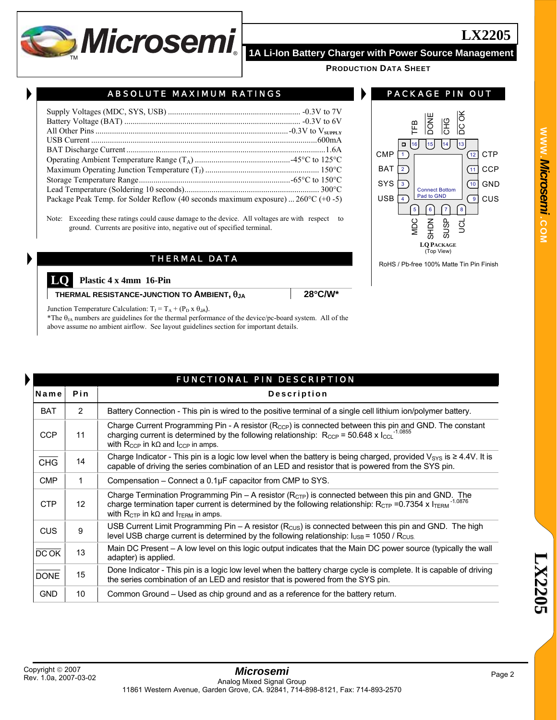

CMP BAT SYS USB

> MDC SHDN SUSP S

TFB **DONE**  $\overline{E}$ DC OK

**PRODUCTION DATA SHEET**

### ABSOLUTE MAXIMUM RATINGS

| Package Peak Temp. for Solder Reflow (40 seconds maximum exposure) $260^{\circ}C$ (+0 -5) |  |
|-------------------------------------------------------------------------------------------|--|

Note: Exceeding these ratings could cause damage to the device. All voltages are with respect to ground. Currents are positive into, negative out of specified terminal.

## THERMAL DATA

**LQ Plastic 4 x 4mm 16-Pin** 

**THERMAL RESISTANCE-JUNCTION TO AMBIENT,** θ**JA 28**°**C/W\***

Junction Temperature Calculation:  $T_J = T_A + (P_D \times \theta_{JA})$ .

\*The  $\theta_{JA}$  numbers are guidelines for the thermal performance of the device/pc-board system. All of the above assume no ambient airflow. See layout guidelines section for important details.

|             |                | <b>FUNCTIONAL PIN DESCRIPTION</b>                                                                                                                                                                                                                                                                        |  |  |  |  |  |
|-------------|----------------|----------------------------------------------------------------------------------------------------------------------------------------------------------------------------------------------------------------------------------------------------------------------------------------------------------|--|--|--|--|--|
| Pin<br>Name |                | <b>Description</b>                                                                                                                                                                                                                                                                                       |  |  |  |  |  |
| <b>BAT</b>  | $\overline{2}$ | Battery Connection - This pin is wired to the positive terminal of a single cell lithium ion/polymer battery.                                                                                                                                                                                            |  |  |  |  |  |
| <b>CCP</b>  | 11             | Charge Current Programming Pin - A resistor ( $R_{CCP}$ ) is connected between this pin and GND. The constant<br>charging current is determined by the following relationship: $R_{\text{CCP}} = 50.648 \times 1_{\text{CCL}}^{-1.0855}$<br>with $R_{CCP}$ in kQ and $I_{CCP}$ in amps.                  |  |  |  |  |  |
| <b>CHG</b>  | 14             | Charge Indicator - This pin is a logic low level when the battery is being charged, provided $V_{\rm SYS}$ is $\geq 4.4V$ . It is<br>capable of driving the series combination of an LED and resistor that is powered from the SYS pin.                                                                  |  |  |  |  |  |
| <b>CMP</b>  | $\mathbf 1$    | Compensation $-$ Connect a $0.1\mu$ F capacitor from CMP to SYS.                                                                                                                                                                                                                                         |  |  |  |  |  |
| <b>CTP</b>  | 12             | Charge Termination Programming Pin $-$ A resistor ( $R_{\text{CTP}}$ ) is connected between this pin and GND. The<br>charge termination taper current is determined by the following relationship: $R_{CTP} = 0.7354 \times 1_{TERM}$ <sup>-1.0876</sup><br>with $R_{CTP}$ in kQ and $I_{TERN}$ in amps. |  |  |  |  |  |
| <b>CUS</b>  | 9              | USB Current Limit Programming Pin – A resistor ( $R_{\text{CUS}}$ ) is connected between this pin and GND. The high<br>level USB charge current is determined by the following relationship: $I_{\text{USB}}$ = 1050 / R <sub>CUS</sub>                                                                  |  |  |  |  |  |
| <b>DCOK</b> | 13             | Main DC Present – A low level on this logic output indicates that the Main DC power source (typically the wall<br>adapter) is applied.                                                                                                                                                                   |  |  |  |  |  |
| <b>DONE</b> | 15             | Done Indicator - This pin is a logic low level when the battery charge cycle is complete. It is capable of driving<br>the series combination of an LED and resistor that is powered from the SYS pin.                                                                                                    |  |  |  |  |  |
| <b>GND</b>  | 10             | Common Ground – Used as chip ground and as a reference for the battery return.                                                                                                                                                                                                                           |  |  |  |  |  |

 $\boxed{16}$  15 14 13

5 6 7 8

**LQ PACKAGE** (Top View) RoHS / Pb-free 100% Matte Tin Pin Finish

Connect Bottom Pad to GND

**LX2205**

CUS GND **CCP CTP** 

ি  $(10)$  $\sqrt{11}$ (12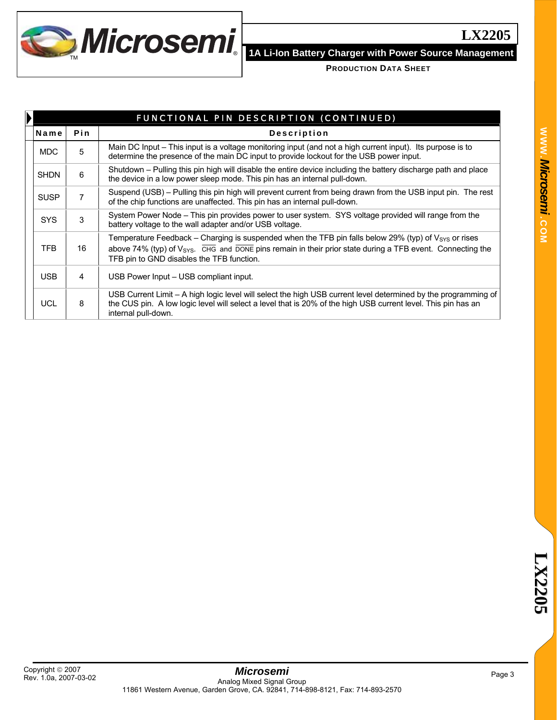

| FUNCTIONAL PIN DESCRIPTION (CONTINUED) |     |                                                                                                                                                                                                                                                                                                          |  |  |  |
|----------------------------------------|-----|----------------------------------------------------------------------------------------------------------------------------------------------------------------------------------------------------------------------------------------------------------------------------------------------------------|--|--|--|
| Name                                   | Pin | <b>Description</b>                                                                                                                                                                                                                                                                                       |  |  |  |
| <b>MDC</b>                             | 5   | Main DC Input – This input is a voltage monitoring input (and not a high current input). Its purpose is to<br>determine the presence of the main DC input to provide lockout for the USB power input.                                                                                                    |  |  |  |
| <b>SHDN</b>                            | 6   | Shutdown – Pulling this pin high will disable the entire device including the battery discharge path and place<br>the device in a low power sleep mode. This pin has an internal pull-down.                                                                                                              |  |  |  |
| <b>SUSP</b>                            |     | Suspend (USB) – Pulling this pin high will prevent current from being drawn from the USB input pin. The rest<br>of the chip functions are unaffected. This pin has an internal pull-down.                                                                                                                |  |  |  |
| <b>SYS</b>                             | 3   | System Power Node – This pin provides power to user system. SYS voltage provided will range from the<br>battery voltage to the wall adapter and/or USB voltage.                                                                                                                                          |  |  |  |
| TFB                                    | 16  | Temperature Feedback – Charging is suspended when the TFB pin falls below 29% (typ) of $V_{SYS}$ or rises<br>above 74% (typ) of $V_{\rm{SYS}}$ . $\overline{CHG}$ and $\overline{DONE}$ pins remain in their prior state during a TFB event. Connecting the<br>TFB pin to GND disables the TFB function. |  |  |  |
| USB.                                   | 4   | USB Power Input – USB compliant input.                                                                                                                                                                                                                                                                   |  |  |  |
| <b>UCL</b>                             | 8   | USB Current Limit - A high logic level will select the high USB current level determined by the programming of<br>the CUS pin. A low logic level will select a level that is 20% of the high USB current level. This pin has an<br>internal pull-down.                                                   |  |  |  |

**LX2205**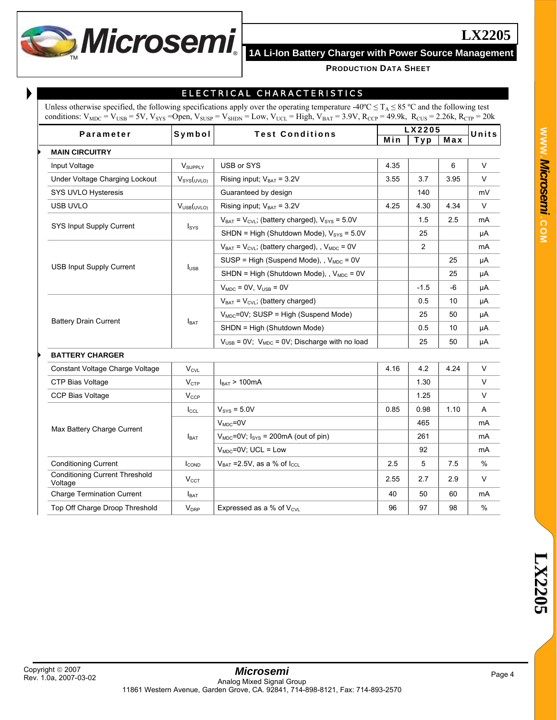

## ELECTRICAL CHARACTERISTICS

| Unless otherwise specified, the following specifications apply over the operating temperature -40°C $\leq T_A \leq 85$ °C and the following test                                   |
|------------------------------------------------------------------------------------------------------------------------------------------------------------------------------------|
| conditions: $V_{MDC} = V_{USB} = 5V$ , $V_{SYS} =$ Open, $V_{SUBP} = V_{SHDN} =$ Low, $V_{UCL} =$ High, $V_{BAT} = 3.9V$ , $R_{CCP} = 49.9k$ , $R_{CUS} = 2.26k$ , $R_{CTP} = 20k$ |

| Symbol<br>Parameter             |                         | <b>Test Conditions</b>                                               | LX2205 |        |      | Units |
|---------------------------------|-------------------------|----------------------------------------------------------------------|--------|--------|------|-------|
|                                 |                         |                                                                      | Min    | Typ    | Max  |       |
| <b>MAIN CIRCUITRY</b>           |                         |                                                                      |        |        |      |       |
| Input Voltage                   | V <sub>SUPPLY</sub>     | USB or SYS                                                           | 4.35   |        | 6    | V     |
| Under Voltage Charging Lockout  | $V_{\text{SYS}}(UVLO)$  | Rising input; $V_{BAT} = 3.2V$                                       | 3.55   | 3.7    | 3.95 | V     |
| SYS UVLO Hysteresis             |                         | Guaranteed by design                                                 |        | 140    |      | mV    |
| USB UVLO                        | V <sub>USE</sub> (UVLO) | Rising input; $V_{BAT} = 3.2V$                                       | 4.25   | 4.30   | 4.34 | V     |
|                                 |                         | $V_{BAT} = V_{CVL}$ ; (battery charged), $V_{SYS} = 5.0V$            |        | 1.5    | 2.5  | mA    |
| SYS Input Supply Current        | $I_{\rm{SYS}}$          | SHDN = High (Shutdown Mode), $V_{SYS}$ = 5.0V                        |        | 25     |      | μA    |
|                                 | $I_{\text{USE}}$        | $V_{BAT} = V_{CVI}$ ; (battery charged), , $V_{MDC} = 0V$            |        | 2      |      | mA    |
|                                 |                         | SUSP = High (Suspend Mode), , $V_{MDC} = 0V$                         |        |        | 25   | μA    |
| <b>USB Input Supply Current</b> |                         | SHDN = High (Shutdown Mode), , $V_{MDC}$ = 0V                        |        |        | 25   | μA    |
|                                 |                         | $V_{MDC}$ = 0V, $V_{\text{USE}}$ = 0V                                |        | $-1.5$ | -6   | μA    |
|                                 |                         | $V_{BAT} = V_{CVL}$ ; (battery charged)                              |        | 0.5    | 10   | μA    |
|                                 |                         | $V_{MDC} = 0V$ ; SUSP = High (Suspend Mode)                          |        | 25     | 50   | μA    |
| <b>Battery Drain Current</b>    | $I_{BAT}$               | SHDN = High (Shutdown Mode)                                          |        | 0.5    | 10   | μA    |
|                                 |                         | $V_{\text{USB}}$ = 0V; $V_{\text{MDC}}$ = 0V; Discharge with no load |        | 25     | 50   | μA    |

### Constant Voltage Charge Voltage  $V_{\text{CVL}}$   $V_{\text{CVL}}$   $V_{\text{CVL}}$ CTP Bias Voltage  $V_{\text{CTP}}$  |  $V_{\text{CTP}}$  |  $V_{\text{BAT}} > 100 \text{ mA}$  | 1.30 | V  $CCP$  Bias Voltage  $V_{CCP}$   $V_{CCP}$  $\vert$  I<sub>CCL</sub>  $\vert$  V<sub>SYS</sub> = 5.0V  $\vert$  0.85  $\vert$  0.98 | 1.10 | A  $V_{\text{MDC}}$ =0V and  $\left| \begin{array}{ccc} 465 & | & | & \text{mA} \end{array} \right|$  $V_{MDC} = 0V$ ; I<sub>SYS</sub> = 200mA (out of pin)  $\vert$  261 mA Max Battery Charge Current **I**BAT VMDC=0V; UCL = Low 92 mA Conditioning Current  $V_{\text{BAT}} = 2.5V$ , as a % of I<sub>CCL</sub> 2.5 5 7.5 % Conditioning Current Threshold<br>Voltage Voltage  $\begin{array}{|c|c|c|c|c|c|}\n\hline\n\end{array}$  V<sub>CCT</sub>  $\begin{array}{|c|c|c|c|c|c|}\n\hline\n\end{array}$  2.55  $\begin{array}{|c|c|c|c|c|}\n\hline\n2.55 & 2.7 & 2.9 & V\n\end{array}$ Charge Termination Current | I<sub>BAT</sub> |  $\frac{1}{2}$  | 40 | 50 | 60 | mA Top Off Charge Droop Threshold  $V_{DRP}$  Expressed as a % of V<sub>CVL</sub> 96 97 98 %

**LX2205**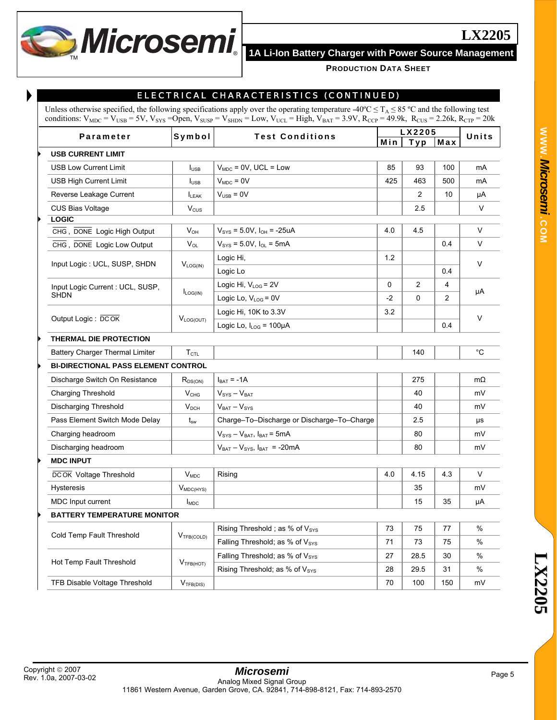

| <b>Parameter</b>                                    | Symbol                  | <b>Test Conditions</b>                                                        |          | LX2205         |          | Units        |
|-----------------------------------------------------|-------------------------|-------------------------------------------------------------------------------|----------|----------------|----------|--------------|
|                                                     |                         |                                                                               | Min      | Typ            | Max      |              |
| <b>USB CURRENT LIMIT</b>                            |                         |                                                                               |          |                |          |              |
| <b>USB Low Current Limit</b>                        | $I_{\text{USE}}$        | $V_{MDC}$ = 0V, UCL = Low                                                     | 85       | 93             | 100      | mA           |
| <b>USB High Current Limit</b>                       | $I_{\text{USE}}$        | $V_{MDC} = 0V$                                                                | 425      | 463            | 500      | mA           |
| Reverse Leakage Current                             | LEAK                    | $VUSB = 0V$                                                                   |          | $\overline{2}$ | 10       | μA           |
| <b>CUS Bias Voltage</b>                             | $V_{\text{CUS}}$        |                                                                               |          | 2.5            |          | V            |
| <b>LOGIC</b>                                        |                         |                                                                               |          |                |          |              |
| CHG, DONE Logic High Output                         | $V_{OH}$                | $V_{\rm sys}$ = 5.0V, $I_{\rm OH}$ = -25uA                                    | 4.0      | 4.5            |          | V            |
| CHG, DONE Logic Low Output                          | $V_{OL}$                | $V_{\text{SYS}} = 5.0 V$ , $I_{\text{OL}} = 5mA$                              |          |                | 0.4      | $\vee$       |
| Input Logic: UCL, SUSP, SHDN                        | $V_{LOG(IN)}$           | Logic Hi,                                                                     | 1.2      |                |          | V            |
|                                                     |                         | Logic Lo                                                                      |          |                | 0.4      |              |
| Input Logic Current : UCL, SUSP,                    | $I_{LOG(IN)}$           | Logic Hi, $V_{LOG} = 2V$                                                      | 0        | $\overline{2}$ | 4        | μA           |
| <b>SHDN</b>                                         |                         | Logic Lo, $V_{LOG} = 0V$                                                      | $-2$     | $\Omega$       | 2        |              |
| Output Logic: DCOK                                  | $V_{LOG(OUT)}$          | Logic Hi, 10K to 3.3V                                                         | 3.2      |                |          | V            |
|                                                     |                         | Logic Lo, $I_{LOG} = 100 \mu A$                                               |          |                | 0.4      |              |
| THERMAL DIE PROTECTION                              |                         |                                                                               |          |                |          |              |
| Battery Charger Thermal Limiter                     | $T_{\text{CTL}}$        |                                                                               |          | 140            |          | $^{\circ}$ C |
| <b>BI-DIRECTIONAL PASS ELEMENT CONTROL</b>          |                         |                                                                               |          |                |          |              |
| Discharge Switch On Resistance                      | $R_{DS(ON)}$            | $I_{BAT} = -1A$                                                               |          | 275            |          | $m\Omega$    |
| <b>Charging Threshold</b>                           | V <sub>CHG</sub>        | $V_{\text{SYS}} - V_{\text{BAT}}$                                             |          | 40             |          | mV           |
| Discharging Threshold                               | V <sub>DCH</sub>        | $V_{BAT} - V_{SYS}$                                                           |          | 40             |          | mV           |
| Pass Element Switch Mode Delay                      | $t_{sw}$                | Charge-To-Discharge or Discharge-To-Charge                                    |          | 2.5            |          | μs           |
| Charging headroom                                   |                         | $V_{\text{SYS}} - V_{\text{BAT}}$ , $I_{\text{BAT}} = 5 \text{mA}$            |          | 80             |          | mV           |
| Discharging headroom                                |                         | $V_{BAT} - V_{SYS}$ , $I_{BAT}$ = -20mA                                       |          | 80             |          | mV           |
| <b>MDC INPUT</b>                                    |                         |                                                                               |          |                |          |              |
| <b>DCOK</b> Voltage Threshold                       | $V_{MDC}$               | Rising                                                                        | 4.0      | 4.15           | 4.3      | V            |
| Hysteresis                                          | $V_{MDC(HYS)}$          |                                                                               |          | 35             |          | mV           |
| MDC Input current                                   | <b>I</b> <sub>MDC</sub> |                                                                               |          | 15             | 35       | μA           |
| <b>BATTERY TEMPERATURE MONITOR</b>                  |                         |                                                                               |          |                |          |              |
|                                                     |                         | Rising Threshold; as % of Vsys                                                | 73       | 75             | 77       | $\%$         |
| Cold Temp Fault Threshold<br>V <sub>TFB(COLD)</sub> |                         | Falling Threshold; as % of Vsys                                               | 71       | 73             | 75       | %            |
|                                                     |                         |                                                                               |          |                |          |              |
|                                                     |                         |                                                                               |          |                |          |              |
| Hot Temp Fault Threshold                            | V <sub>TFB(HOT)</sub>   | Falling Threshold; as % of Vsys<br>Rising Threshold; as % of V <sub>SYS</sub> | 27<br>28 | 28.5<br>29.5   | 30<br>31 | %<br>%       |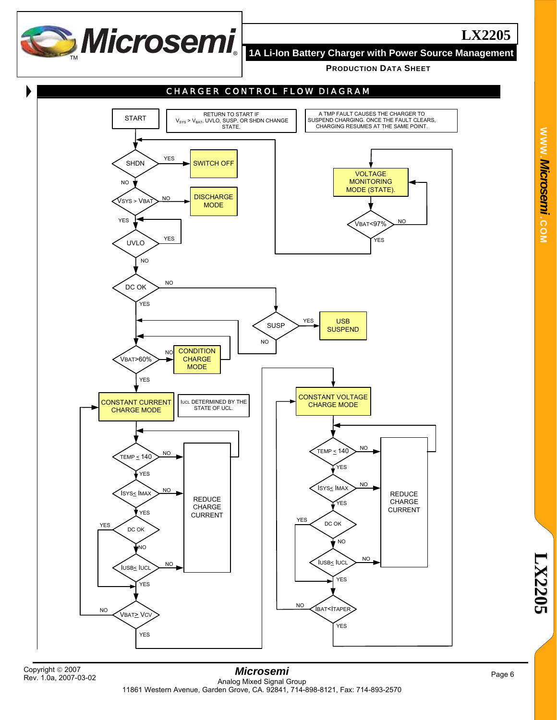

THE **18 A Li-Ion Battery Charger with Power Source Management** 

**PRODUCTION DATA SHEET**



Rev. 1.0a, 2007-03-02

*Microsemi*  Analog Mixed Signal Group 11861 Western Avenue, Garden Grove, CA. 92841, 714-898-8121, Fax: 714-893-2570 Page 6 Copyright ©<sup>2007</sup>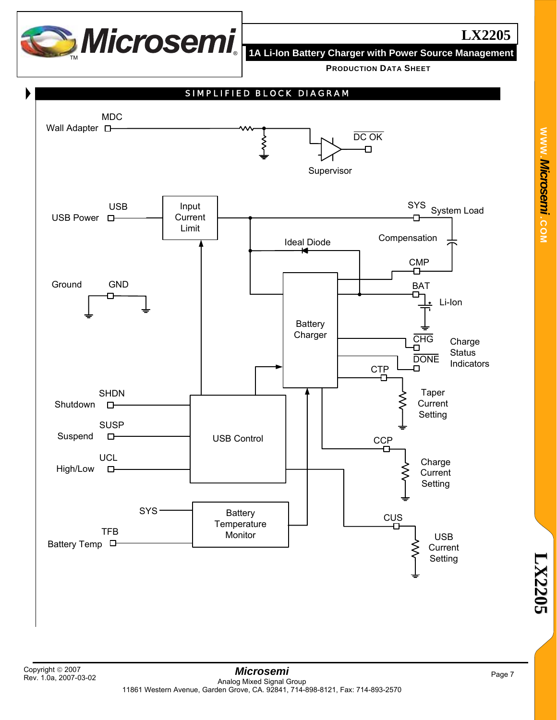

**WWW.**

*Microsemi .*

**COM**

**PRODUCTION DATA SHEET**

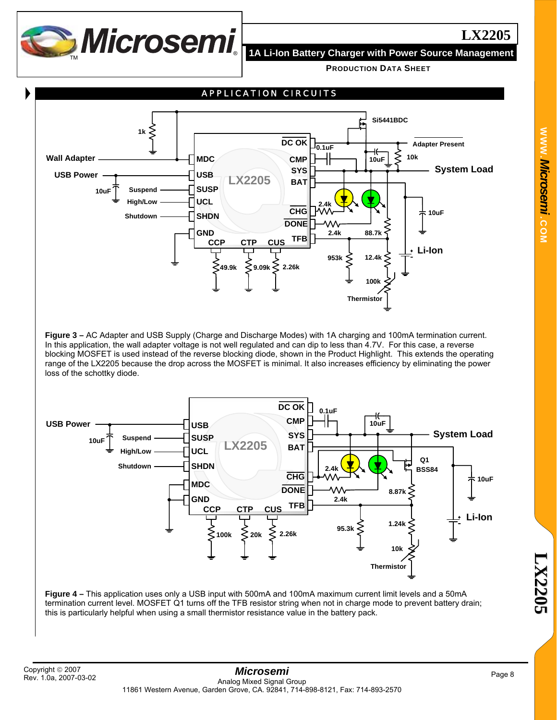

**PRODUCTION DATA SHEET**



**Figure 3 –** AC Adapter and USB Supply (Charge and Discharge Modes) with 1A charging and 100mA termination current. In this application, the wall adapter voltage is not well regulated and can dip to less than 4.7V. For this case, a reverse blocking MOSFET is used instead of the reverse blocking diode, shown in the Product Highlight. This extends the operating range of the LX2205 because the drop across the MOSFET is minimal. It also increases efficiency by eliminating the power loss of the schottky diode.



**Figure 4 –** This application uses only a USB input with 500mA and 100mA maximum current limit levels and a 50mA termination current level. MOSFET Q1 turns off the TFB resistor string when not in charge mode to prevent battery drain; this is particularly helpful when using a small thermistor resistance value in the battery pack.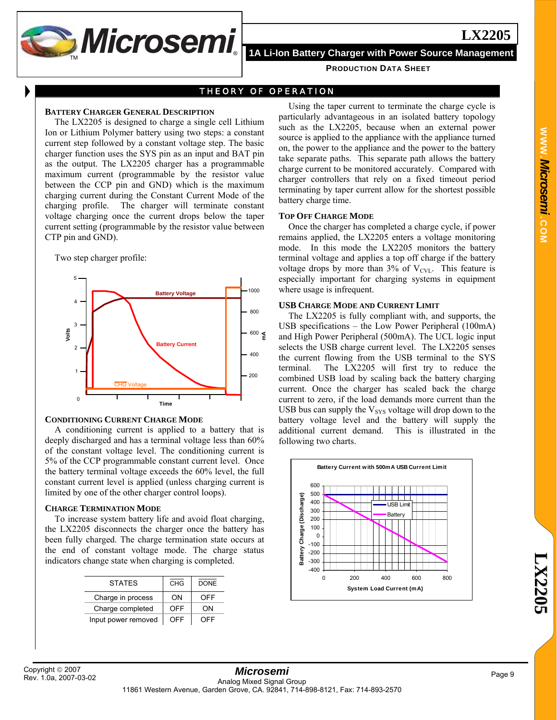

### THEORY OF OPERATION

#### **BATTERY CHARGER GENERAL DESCRIPTION**

The LX2205 is designed to charge a single cell Lithium Ion or Lithium Polymer battery using two steps: a constant current step followed by a constant voltage step. The basic charger function uses the SYS pin as an input and BAT pin as the output. The LX2205 charger has a programmable maximum current (programmable by the resistor value between the CCP pin and GND) which is the maximum charging current during the Constant Current Mode of the charging profile. The charger will terminate constant voltage charging once the current drops below the taper current setting (programmable by the resistor value between CTP pin and GND).

Two step charger profile:



#### **CONDITIONING CURRENT CHARGE MODE**

A conditioning current is applied to a battery that is deeply discharged and has a terminal voltage less than 60% of the constant voltage level. The conditioning current is 5% of the CCP programmable constant current level. Once the battery terminal voltage exceeds the 60% level, the full constant current level is applied (unless charging current is limited by one of the other charger control loops).

#### **CHARGE TERMINATION MODE**

To increase system battery life and avoid float charging, the LX2205 disconnects the charger once the battery has been fully charged. The charge termination state occurs at the end of constant voltage mode. The charge status indicators change state when charging is completed.

| <b>STATES</b>       | CHG | <b>DONE</b> |
|---------------------|-----|-------------|
| Charge in process   | ΩN  | OFF         |
| Charge completed    | OFF | ΩN          |
| Input power removed | OFF | OFF         |

Using the taper current to terminate the charge cycle is particularly advantageous in an isolated battery topology such as the LX2205, because when an external power source is applied to the appliance with the appliance turned on, the power to the appliance and the power to the battery take separate paths. This separate path allows the battery charge current to be monitored accurately. Compared with charger controllers that rely on a fixed timeout period terminating by taper current allow for the shortest possible battery charge time.

### **TOP OFF CHARGE MODE**

Once the charger has completed a charge cycle, if power remains applied, the LX2205 enters a voltage monitoring mode. In this mode the LX2205 monitors the battery terminal voltage and applies a top off charge if the battery voltage drops by more than  $3\%$  of V<sub>CVL</sub>. This feature is especially important for charging systems in equipment where usage is infrequent.

### **USB CHARGE MODE AND CURRENT LIMIT**

The LX2205 is fully compliant with, and supports, the USB specifications – the Low Power Peripheral (100mA) and High Power Peripheral (500mA). The UCL logic input selects the USB charge current level. The LX2205 senses the current flowing from the USB terminal to the SYS terminal. The LX2205 will first try to reduce the combined USB load by scaling back the battery charging current. Once the charger has scaled back the charge current to zero, if the load demands more current than the USB bus can supply the  $V_{SVS}$  voltage will drop down to the battery voltage level and the battery will supply the additional current demand. This is illustrated in the following two charts.

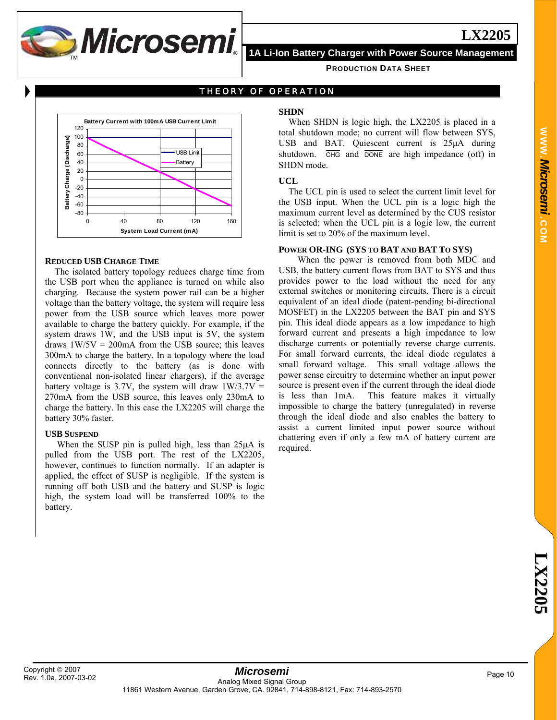

**PRODUCTION DATA SHEET**

THEORY OF OPERATION



#### **REDUCED USB CHARGE TIME**

The isolated battery topology reduces charge time from the USB port when the appliance is turned on while also charging. Because the system power rail can be a higher voltage than the battery voltage, the system will require less power from the USB source which leaves more power available to charge the battery quickly. For example, if the system draws 1W, and the USB input is 5V, the system draws  $1W/5V = 200$  mA from the USB source; this leaves 300mA to charge the battery. In a topology where the load connects directly to the battery (as is done with conventional non-isolated linear chargers), if the average battery voltage is 3.7V, the system will draw  $1W/3.7V =$ 270mA from the USB source, this leaves only 230mA to charge the battery. In this case the LX2205 will charge the battery 30% faster.

#### **USB SUSPEND**

 When the SUSP pin is pulled high, less than 25μA is pulled from the USB port. The rest of the LX2205, however, continues to function normally. If an adapter is applied, the effect of SUSP is negligible. If the system is running off both USB and the battery and SUSP is logic high, the system load will be transferred 100% to the battery.

### **SHDN**

When SHDN is logic high, the LX2205 is placed in a total shutdown mode; no current will flow between SYS, USB and BAT. Quiescent current is  $25\mu A$  during shutdown.  $\overline{CHG}$  and  $\overline{DONE}$  are high impedance (off) in SHDN mode.

#### **UCL**

The UCL pin is used to select the current limit level for the USB input. When the UCL pin is a logic high the maximum current level as determined by the CUS resistor is selected; when the UCL pin is a logic low, the current limit is set to 20% of the maximum level.

#### **POWER OR-ING (SYS TO BAT AND BAT TO SYS)**

 When the power is removed from both MDC and USB, the battery current flows from BAT to SYS and thus provides power to the load without the need for any external switches or monitoring circuits. There is a circuit equivalent of an ideal diode (patent-pending bi-directional MOSFET) in the LX2205 between the BAT pin and SYS pin. This ideal diode appears as a low impedance to high forward current and presents a high impedance to low discharge currents or potentially reverse charge currents. For small forward currents, the ideal diode regulates a small forward voltage. This small voltage allows the power sense circuitry to determine whether an input power source is present even if the current through the ideal diode is less than 1mA. This feature makes it virtually impossible to charge the battery (unregulated) in reverse through the ideal diode and also enables the battery to assist a current limited input power source without chattering even if only a few mA of battery current are required.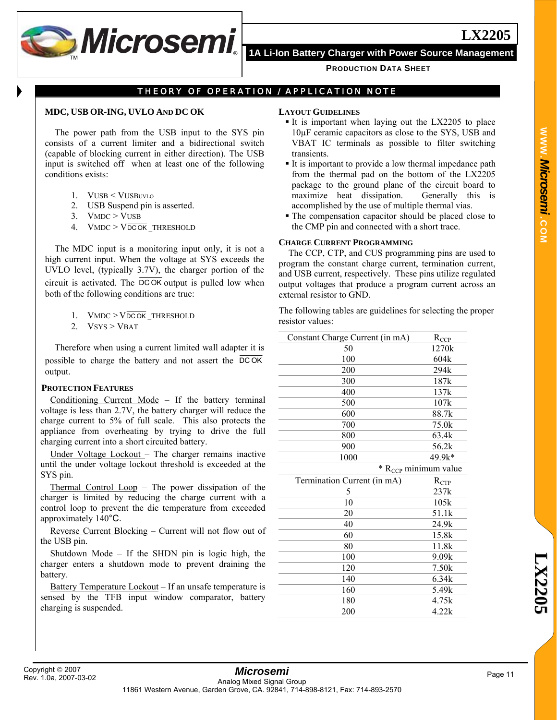

## THEORY OF OPERATION / APPLICATION NOTE

#### **MDC, USB OR-ING, UVLO AND DC OK**

The power path from the USB input to the SYS pin consists of a current limiter and a bidirectional switch (capable of blocking current in either direction). The USB input is switched off when at least one of the following conditions exists:

- 1. VUSB < VUSBUVLO
- 2. USB Suspend pin is asserted.
- 3. VMDC > VUSB
- 4.  $V$ MDC  $> V$ DCOK THRESHOLD

The MDC input is a monitoring input only, it is not a high current input. When the voltage at SYS exceeds the UVLO level, (typically 3.7V), the charger portion of the circuit is activated. The DC OK output is pulled low when both of the following conditions are true:

- 1.  $V$ MDC  $>$   $V$ DC OK THRESHOLD
- 2.  $V$ SYS > VBAT

Therefore when using a current limited wall adapter it is possible to charge the battery and not assert the DC OK output.

#### **PROTECTION FEATURES**

Conditioning Current Mode – If the battery terminal voltage is less than 2.7V, the battery charger will reduce the charge current to 5% of full scale. This also protects the appliance from overheating by trying to drive the full charging current into a short circuited battery.

Under Voltage Lockout – The charger remains inactive until the under voltage lockout threshold is exceeded at the SYS pin.

Thermal Control Loop – The power dissipation of the charger is limited by reducing the charge current with a control loop to prevent the die temperature from exceeded approximately 140°C.

Reverse Current Blocking – Current will not flow out of the USB pin.

Shutdown Mode – If the SHDN pin is logic high, the charger enters a shutdown mode to prevent draining the battery.

Battery Temperature Lockout – If an unsafe temperature is sensed by the TFB input window comparator, battery charging is suspended.

#### **LAYOUT GUIDELINES**

- It is important when laying out the  $LX2205$  to place 10µF ceramic capacitors as close to the SYS, USB and VBAT IC terminals as possible to filter switching transients.
- It is important to provide a low thermal impedance path from the thermal pad on the bottom of the LX2205 package to the ground plane of the circuit board to maximize heat dissipation. Generally this is accomplished by the use of multiple thermal vias.
- The compensation capacitor should be placed close to the CMP pin and connected with a short trace.

#### **CHARGE CURRENT PROGRAMMING**

The CCP, CTP, and CUS programming pins are used to program the constant charge current, termination current, and USB current, respectively. These pins utilize regulated output voltages that produce a program current across an external resistor to GND.

The following tables are guidelines for selecting the proper resistor values:

| Constant Charge Current (in mA) | $R_{CCP}$                          |
|---------------------------------|------------------------------------|
| 50                              | 1270k                              |
| 100                             | 604k                               |
| 200                             | 294k                               |
| 300                             | 187k                               |
| 400                             | 137k                               |
| 500                             | 107k                               |
| 600                             | 88.7k                              |
| 700                             | 75.0k                              |
| 800                             | 63.4k                              |
| 900                             | 56.2k                              |
| 1000                            | 49.9k*                             |
|                                 | $*$ R <sub>CCP</sub> minimum value |
| Termination Current (in mA)     | $R_{CTP}$                          |
| 5                               | 237k                               |
| 10                              |                                    |
|                                 | 105k                               |
| 20                              | 51.1k                              |
| 40                              | 24.9k                              |
| 60                              | 15.8k                              |
| 80                              | 11.8k                              |
| 100                             | 9.09k                              |
| 120                             | 7.50k                              |
| 140                             | 6.34k                              |
| 160                             | 5.49k                              |
| 180                             | 4.75k                              |
| 200                             | 4.22k                              |

**LX2205**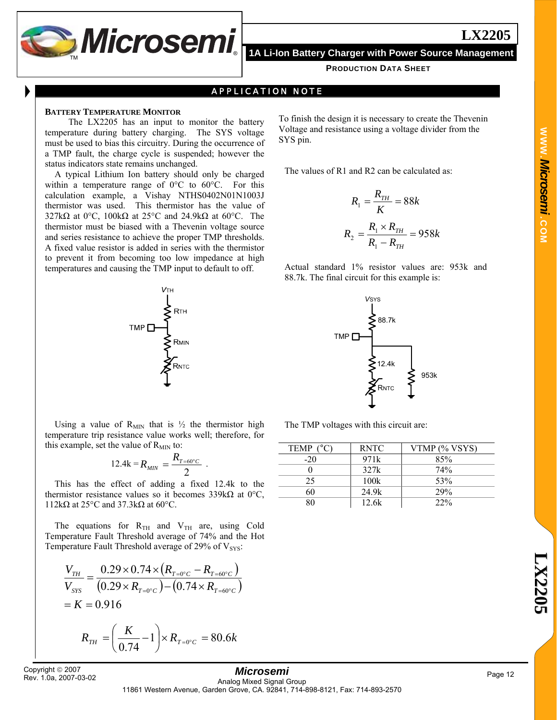

### APPLICATION NOTE

#### **BATTERY TEMPERATURE MONITOR**

 The LX2205 has an input to monitor the battery temperature during battery charging. The SYS voltage must be used to bias this circuitry. During the occurrence of a TMP fault, the charge cycle is suspended; however the status indicators state remains unchanged.

A typical Lithium Ion battery should only be charged within a temperature range of 0°C to 60°C. For this calculation example, a Vishay NTHS0402N01N1003J thermistor was used. This thermistor has the value of 327kΩ at 0°C, 100kΩ at 25°C and 24.9kΩ at 60°C. The thermistor must be biased with a Thevenin voltage source and series resistance to achieve the proper TMP thresholds. A fixed value resistor is added in series with the thermistor to prevent it from becoming too low impedance at high temperatures and causing the TMP input to default to off.



Using a value of  $R_{MIN}$  that is  $\frac{1}{2}$  the thermistor high temperature trip resistance value works well; therefore, for this example, set the value of  $R_{MIN}$  to:

$$
12.4k = R_{\text{MIN}} = \frac{R_{T=60^{\circ}C}}{2} \ .
$$

This has the effect of adding a fixed 12.4k to the thermistor resistance values so it becomes 339kΩ at 0°C, 112kΩ at 25°C and 37.3kΩ at 60°C.

The equations for  $R_{TH}$  and  $V_{TH}$  are, using Cold Temperature Fault Threshold average of 74% and the Hot Temperature Fault Threshold average of 29% of  $V_{\rm sys}$ :

$$
\frac{V_{TH}}{V_{sys}} = \frac{0.29 \times 0.74 \times (R_{T=0\degree C} - R_{T=60\degree C})}{(0.29 \times R_{T=0\degree C}) - (0.74 \times R_{T=60\degree C})}
$$
  
= K = 0.916

$$
R_{\scriptscriptstyle TH} = \left(\frac{K}{0.74} - 1\right) \times R_{\scriptscriptstyle T=0^{\circ}C} = 80.6k
$$

Rev. 1.0a, 2007-03-02

To finish the design it is necessary to create the Thevenin Voltage and resistance using a voltage divider from the SYS pin.

The values of R1 and R2 can be calculated as:

$$
R_1 = \frac{R_{TH}}{K} = 88k
$$
  

$$
R_2 = \frac{R_1 \times R_{TH}}{R_1 - R_{TH}} = 958k
$$

Actual standard 1% resistor values are: 953k and 88.7k. The final circuit for this example is:



The TMP voltages with this circuit are:

| TEMP ( | <b>RNTC</b> | VTMP (% VSYS) |
|--------|-------------|---------------|
| $-20$  | 971k        | 85%           |
|        | 327k        | 74%           |
| 25     | 100k        | 53%           |
| ናበ     | 24.9k       | 29%           |
|        | 12.6k       | 22%           |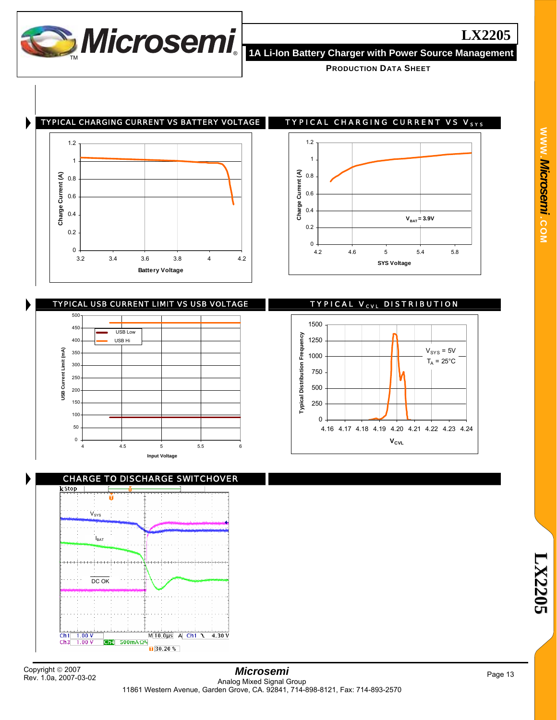

TYPICAL CHARGING CURRENT VS BATTERY VOLTAGE TYPICAL CHARGING CURRENT VS V<sub>sys</sub>





1.2 1 Charge Current (A) **Charge Current (A)** 0.8 0.6 0.4  $V_{BAT} = 3.9V$ 0.2 0 4.2 4.6 5 5.4 5.8

**SYS Voltage**



CHARGE TO DISCHARGE SWITCHOVER  $V_{\rm{SYS}}$ **IBAT** ومواجو DC OK  $Ch1$  1.00 V  $M[10.0 \mu s]$  A Ch1 1 4.30 V  $Ch<sup>4</sup>$  500mA  $\Omega$ <sup>R</sup>  $Ch3$  $1.00V$  $\sqrt{30.20\%}$ 

Rev. 1.0a, 2007-03-02